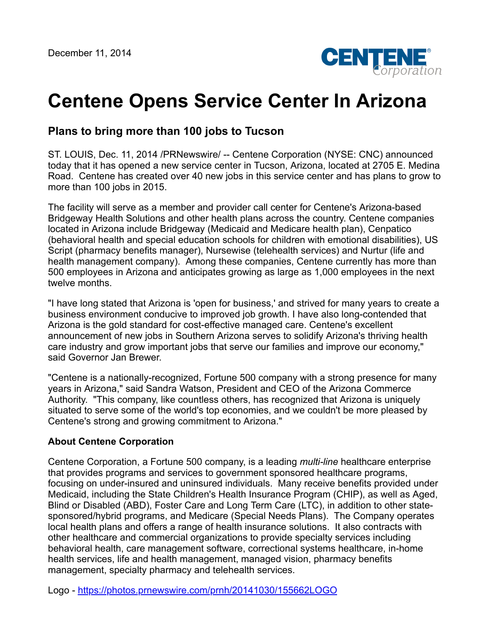

## **Centene Opens Service Center In Arizona**

## **Plans to bring more than 100 jobs to Tucson**

ST. LOUIS, Dec. 11, 2014 /PRNewswire/ -- Centene Corporation (NYSE: CNC) announced today that it has opened a new service center in Tucson, Arizona, located at 2705 E. Medina Road. Centene has created over 40 new jobs in this service center and has plans to grow to more than 100 jobs in 2015.

The facility will serve as a member and provider call center for Centene's Arizona-based Bridgeway Health Solutions and other health plans across the country. Centene companies located in Arizona include Bridgeway (Medicaid and Medicare health plan), Cenpatico (behavioral health and special education schools for children with emotional disabilities), US Script (pharmacy benefits manager), Nursewise (telehealth services) and Nurtur (life and health management company). Among these companies, Centene currently has more than 500 employees in Arizona and anticipates growing as large as 1,000 employees in the next twelve months.

"I have long stated that Arizona is 'open for business,' and strived for many years to create a business environment conducive to improved job growth. I have also long-contended that Arizona is the gold standard for cost-effective managed care. Centene's excellent announcement of new jobs in Southern Arizona serves to solidify Arizona's thriving health care industry and grow important jobs that serve our families and improve our economy," said Governor Jan Brewer.

"Centene is a nationally-recognized, Fortune 500 company with a strong presence for many years in Arizona," said Sandra Watson, President and CEO of the Arizona Commerce Authority. "This company, like countless others, has recognized that Arizona is uniquely situated to serve some of the world's top economies, and we couldn't be more pleased by Centene's strong and growing commitment to Arizona."

## **About Centene Corporation**

Centene Corporation, a Fortune 500 company, is a leading *multi-line* healthcare enterprise that provides programs and services to government sponsored healthcare programs, focusing on under-insured and uninsured individuals. Many receive benefits provided under Medicaid, including the State Children's Health Insurance Program (CHIP), as well as Aged, Blind or Disabled (ABD), Foster Care and Long Term Care (LTC), in addition to other statesponsored/hybrid programs, and Medicare (Special Needs Plans). The Company operates local health plans and offers a range of health insurance solutions. It also contracts with other healthcare and commercial organizations to provide specialty services including behavioral health, care management software, correctional systems healthcare, in-home health services, life and health management, managed vision, pharmacy benefits management, specialty pharmacy and telehealth services.

Logo - <https://photos.prnewswire.com/prnh/20141030/155662LOGO>